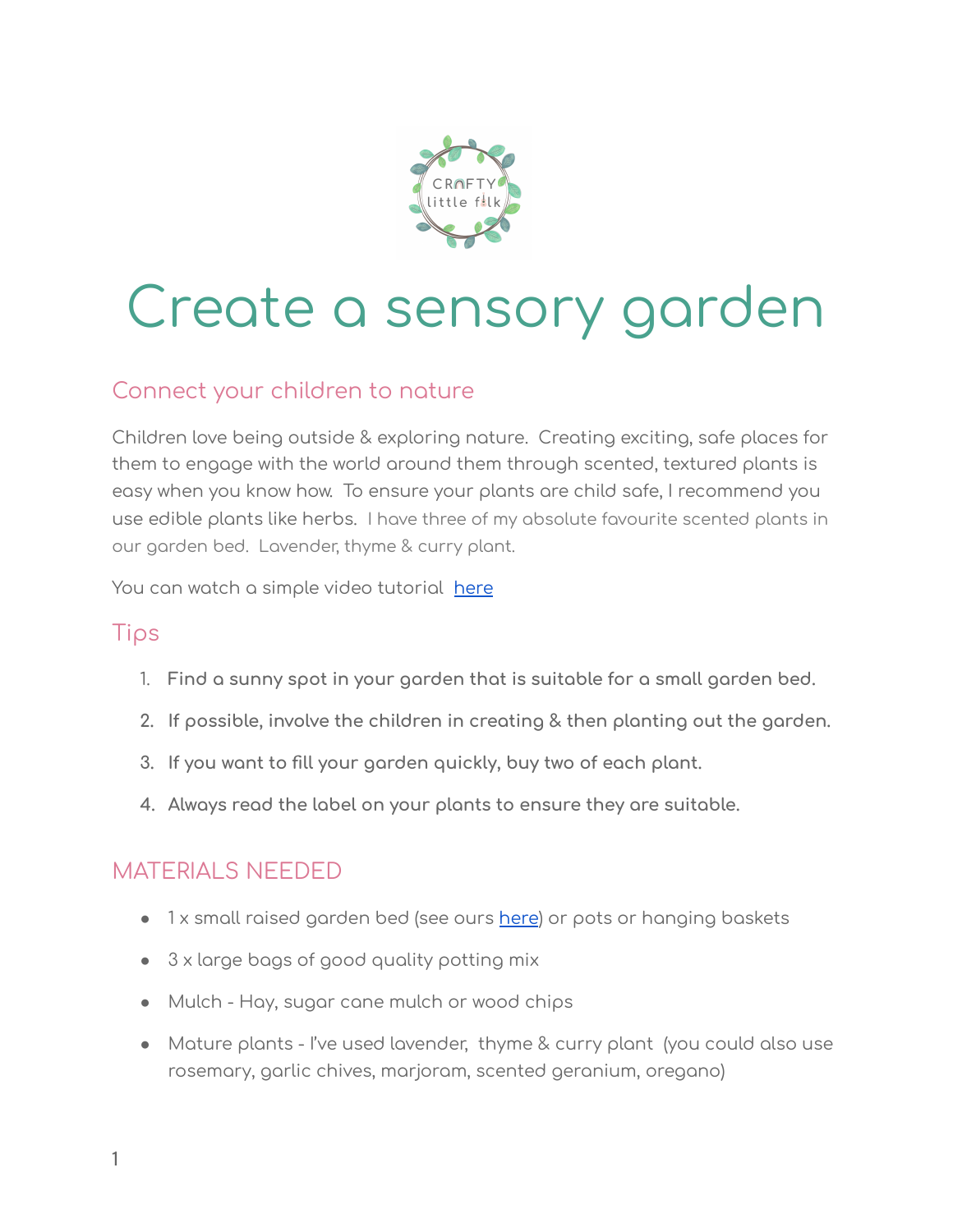

# Create a sensory garden

### Connect your children to nature

Children love being outside & exploring nature. Creating exciting, safe places for them to engage with the world around them through scented, textured plants is easy when you know how. To ensure your plants are child safe, I recommend you use edible plants like herbs. I have three of my absolute favourite scented plants in our garden bed. Lavender, thyme & curry plant.

You can watch a simple video tutorial [here](https://www.youtube.com/watch?v=Ej4FgaEZKw0)

#### Tips

- 1. **Find a sunny spot in your garden that is suitable for a small garden bed.**
- **2. If possible, involve the children in creating & then planting out the garden.**
- **3. If you want to fill your garden quickly, buy two of each plant.**
- **4. Always read the label on your plants to ensure they are suitable.**

#### MATERIALS NEEDED

- 1 x small raised garden bed (see ours [here](https://www.bunnings.com.au/holman-600-x-600mm-modular-raised-garden-bed_p3321774)) or pots or hanging baskets
- 3 x large bags of good quality potting mix
- Mulch Hay, sugar cane mulch or wood chips
- Mature plants I've used lavender, thyme & curry plant (you could also use rosemary, garlic chives, marjoram, scented geranium, oregano)